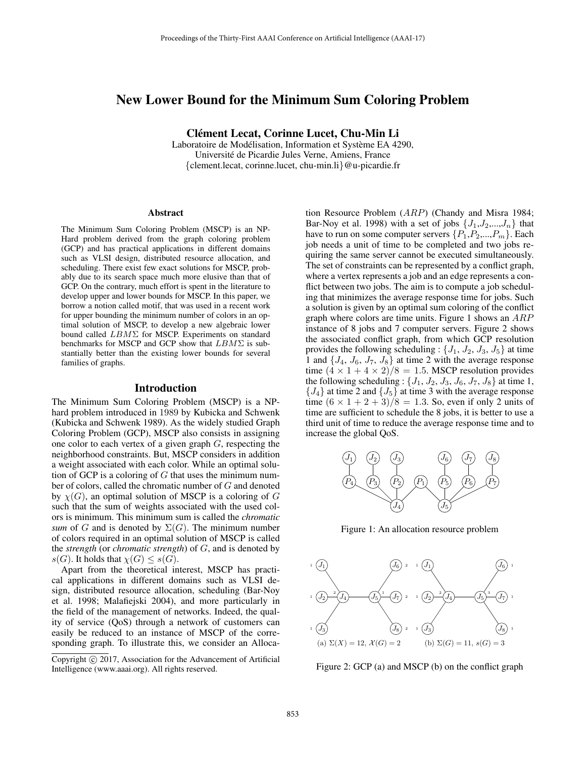# New Lower Bound for the Minimum Sum Coloring Problem

Clement Lecat, Corinne Lucet, Chu-Min Li ´

Laboratoire de Modélisation, Information et Système EA 4290, Universite de Picardie Jules Verne, Amiens, France ´ {clement.lecat, corinne.lucet, chu-min.li}@u-picardie.fr

#### Abstract

The Minimum Sum Coloring Problem (MSCP) is an NP-Hard problem derived from the graph coloring problem (GCP) and has practical applications in different domains such as VLSI design, distributed resource allocation, and scheduling. There exist few exact solutions for MSCP, probably due to its search space much more elusive than that of GCP. On the contrary, much effort is spent in the literature to develop upper and lower bounds for MSCP. In this paper, we borrow a notion called motif, that was used in a recent work for upper bounding the minimum number of colors in an optimal solution of MSCP, to develop a new algebraic lower bound called  $LBM \Sigma$  for MSCP. Experiments on standard benchmarks for MSCP and GCP show that  $LBM\Sigma$  is substantially better than the existing lower bounds for several families of graphs.

# Introduction

The Minimum Sum Coloring Problem (MSCP) is a NPhard problem introduced in 1989 by Kubicka and Schwenk (Kubicka and Schwenk 1989). As the widely studied Graph Coloring Problem (GCP), MSCP also consists in assigning one color to each vertex of a given graph G, respecting the neighborhood constraints. But, MSCP considers in addition a weight associated with each color. While an optimal solution of GCP is a coloring of  $G$  that uses the minimum number of colors, called the chromatic number of G and denoted by  $\chi(G)$ , an optimal solution of MSCP is a coloring of G such that the sum of weights associated with the used colors is minimum. This minimum sum is called the *chromatic sum* of G and is denoted by  $\Sigma(G)$ . The minimum number of colors required in an optimal solution of MSCP is called the *strength* (or *chromatic strength*) of G, and is denoted by  $s(G)$ . It holds that  $\chi(G) \leq s(G)$ .

Apart from the theoretical interest, MSCP has practical applications in different domains such as VLSI design, distributed resource allocation, scheduling (Bar-Noy et al. 1998; Malafiejski 2004), and more particularly in the field of the management of networks. Indeed, the quality of service (QoS) through a network of customers can easily be reduced to an instance of MSCP of the corresponding graph. To illustrate this, we consider an Alloca-

tion Resource Problem (ARP) (Chandy and Misra 1984; Bar-Noy et al. 1998) with a set of jobs  $\{J_1, J_2, ..., J_n\}$  that have to run on some computer servers  $\{P_1, P_2, ..., P_m\}$ . Each job needs a unit of time to be completed and two jobs requiring the same server cannot be executed simultaneously. The set of constraints can be represented by a conflict graph, where a vertex represents a job and an edge represents a conflict between two jobs. The aim is to compute a job scheduling that minimizes the average response time for jobs. Such a solution is given by an optimal sum coloring of the conflict graph where colors are time units. Figure 1 shows an  $ARP$ instance of 8 jobs and 7 computer servers. Figure 2 shows the associated conflict graph, from which GCP resolution provides the following scheduling :  $\{J_1, J_2, J_3, J_5\}$  at time 1 and  $\{J_4, J_6, J_7, J_8\}$  at time 2 with the average response time  $(4 \times 1 + 4 \times 2)/8 = 1.5$ . MSCP resolution provides the following scheduling :  $\{J_1, J_2, J_3, J_6, J_7, J_8\}$  at time 1,  ${J_4}$  at time 2 and  ${J_5}$  at time 3 with the average response time  $(6 \times 1 + 2 + 3)/8 = 1.3$ . So, even if only 2 units of time are sufficient to schedule the 8 jobs, it is better to use a third unit of time to reduce the average response time and to increase the global QoS.



Figure 1: An allocation resource problem



Figure 2: GCP (a) and MSCP (b) on the conflict graph

Copyright  $\odot$  2017, Association for the Advancement of Artificial Intelligence (www.aaai.org). All rights reserved.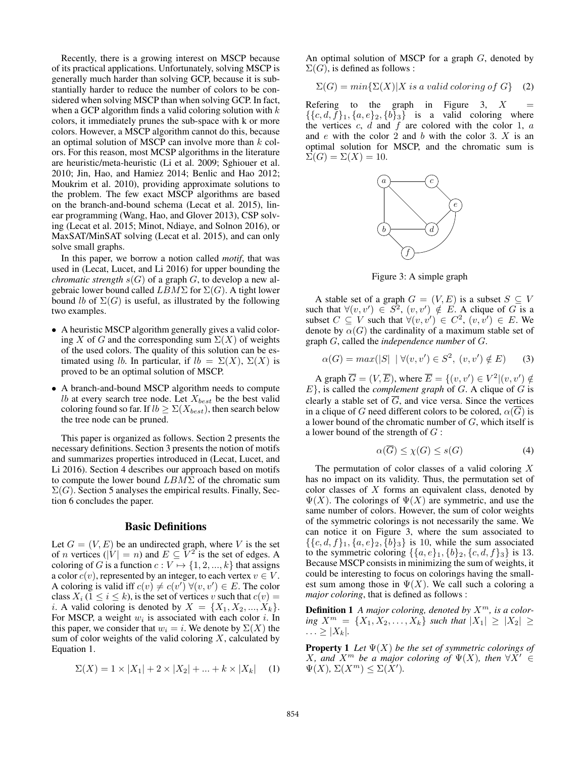Recently, there is a growing interest on MSCP because of its practical applications. Unfortunately, solving MSCP is generally much harder than solving GCP, because it is substantially harder to reduce the number of colors to be considered when solving MSCP than when solving GCP. In fact, when a GCP algorithm finds a valid coloring solution with  $k$ colors, it immediately prunes the sub-space with k or more colors. However, a MSCP algorithm cannot do this, because an optimal solution of MSCP can involve more than  $k$  colors. For this reason, most MCSP algorithms in the literature are heuristic/meta-heuristic (Li et al. 2009; Sghiouer et al. 2010; Jin, Hao, and Hamiez 2014; Benlic and Hao 2012; Moukrim et al. 2010), providing approximate solutions to the problem. The few exact MSCP algorithms are based on the branch-and-bound schema (Lecat et al. 2015), linear programming (Wang, Hao, and Glover 2013), CSP solving (Lecat et al. 2015; Minot, Ndiaye, and Solnon 2016), or MaxSAT/MinSAT solving (Lecat et al. 2015), and can only solve small graphs.

In this paper, we borrow a notion called *motif*, that was used in (Lecat, Lucet, and Li 2016) for upper bounding the *chromatic strength*  $s(G)$  of a graph  $G$ , to develop a new algebraic lower bound called  $LBM \Sigma$  for  $\Sigma(G)$ . A tight lower bound lb of  $\Sigma(G)$  is useful, as illustrated by the following two examples.

- A heuristic MSCP algorithm generally gives a valid coloring X of G and the corresponding sum  $\Sigma(X)$  of weights of the used colors. The quality of this solution can be estimated using lb. In particular, if  $lb = \Sigma(X)$ ,  $\Sigma(X)$  is proved to be an optimal solution of MSCP.
- A branch-and-bound MSCP algorithm needs to compute *lb* at every search tree node. Let  $X_{best}$  be the best valid coloring found so far. If  $lb \geq \Sigma(X_{best})$ , then search below the tree node can be pruned.

This paper is organized as follows. Section 2 presents the necessary definitions. Section 3 presents the notion of motifs and summarizes properties introduced in (Lecat, Lucet, and Li 2016). Section 4 describes our approach based on motifs to compute the lower bound  $LBM\Sigma$  of the chromatic sum  $\Sigma(G)$ . Section 5 analyses the empirical results. Finally, Section 6 concludes the paper.

### Basic Definitions

Let  $G = (V, E)$  be an undirected graph, where V is the set of *n* vertices ( $|V| = n$ ) and  $E \subseteq V^2$  is the set of edges. A coloring of G is a function  $c: V \mapsto \{1, 2, ..., k\}$  that assigns a color  $c(v)$ , represented by an integer, to each vertex  $v \in V$ . A coloring is valid iff  $c(v) \neq c(v') \ \forall (v, v') \in E$ . The color class  $X_i$  ( $1 \le i \le k$ ), is the set of vertices v such that  $c(v) =$ *i*. A valid coloring is denoted by  $X = \{X_1, X_2, ..., X_k\}.$ For MSCP, a weight  $w_i$  is associated with each color i. In this paper, we consider that  $w_i = i$ . We denote by  $\Sigma(X)$  the sum of color weights of the valid coloring  $X$ , calculated by Equation 1.

$$
\Sigma(X) = 1 \times |X_1| + 2 \times |X_2| + \dots + k \times |X_k| \quad (1)
$$

An optimal solution of MSCP for a graph  $G$ , denoted by  $\Sigma(G)$ , is defined as follows :

$$
\Sigma(G) = min\{\Sigma(X)|X \text{ is a valid coloring of } G\} \quad (2)
$$

Refering to the graph in Figure 3,  $X$  $\{\{c, d, f\}_1, \{a, e\}_2, \{b\}_3\}$  is a valid coloring where the vertices  $c, d$  and  $f$  are colored with the color 1,  $a$ and  $e$  with the color 2 and  $b$  with the color 3.  $X$  is an optimal solution for MSCP, and the chromatic sum is  $\Sigma(G) = \Sigma(X) = 10.$ 



Figure 3: A simple graph

A stable set of a graph  $G = (V, E)$  is a subset  $S \subseteq V$ such that  $\forall (v, v') \in S^2$ ,  $(v, v') \notin E$ . A clique of G is a subset  $C \subseteq V$  such that  $\forall (v, v') \in C^2$ ,  $(v, v') \in E$ . We denote by  $\alpha(G)$  the cardinality of a maximum stable set of graph G, called the *independence number* of G.

$$
\alpha(G) = \max(|S| \, | \, \forall (v, v') \in S^2, \, (v, v') \notin E) \tag{3}
$$

A graph  $\overline{G} = (V, \overline{E}),$  where  $\overline{E} = \{(v, v') \in V^2 | (v, v') \notin$  $E$ }, is called the *complement graph* of  $G$ . A clique of  $G$  is clearly a stable set of  $\overline{G}$ , and vice versa. Since the vertices in a clique of G need different colors to be colored,  $\alpha(\overline{G})$  is a lower bound of the chromatic number of  $G$ , which itself is a lower bound of the strength of  $G$ :

$$
\alpha(\overline{G}) \le \chi(G) \le s(G) \tag{4}
$$

The permutation of color classes of a valid coloring  $X$ has no impact on its validity. Thus, the permutation set of color classes of X forms an equivalent class, denoted by  $\Psi(X)$ . The colorings of  $\Psi(X)$  are symmetric, and use the same number of colors. However, the sum of color weights of the symmetric colorings is not necessarily the same. We can notice it on Figure 3, where the sum associated to  $\{\{c, d, f\}_1, \{a, e\}_2, \{b\}_3\}$  is 10, while the sum associated to the symmetric coloring  $\{\{a, e\}_1, \{b\}_2, \{c, d, f\}_3\}$  is 13. Because MSCP consists in minimizing the sum of weights, it could be interesting to focus on colorings having the smallest sum among those in  $\Psi(X)$ . We call such a coloring a *major coloring*, that is defined as follows :

**Definition 1** *A major coloring, denoted by*  $X^m$ *, is a coloring*  $X^m = \{X_1, X_2, \ldots, X_k\}$  *such that*  $|X_1| ≥ |X_2| ≥$  $\ldots \geq |X_k|$ .

Property 1 *Let* Ψ(X) *be the set of symmetric colorings of*  $X$ *, and*  $X^m$  *be a major coloring of*  $\Psi(X)$ *, then*  $\forall X' \in$  $\Psi(X)$ ,  $\Sigma(X^m) \leq \Sigma(X')$ .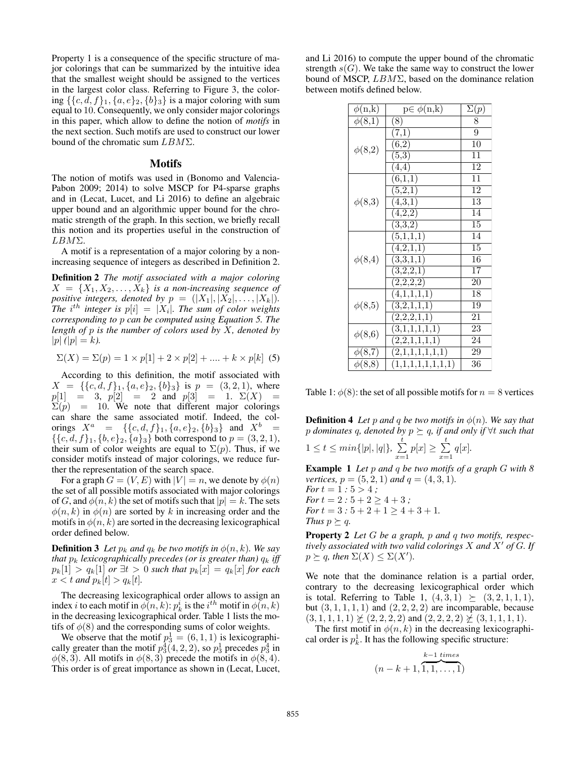Property 1 is a consequence of the specific structure of major colorings that can be summarized by the intuitive idea that the smallest weight should be assigned to the vertices in the largest color class. Referring to Figure 3, the coloring  $\{\{c, d, f\}_1, \{a, e\}_2, \{b\}_3\}$  is a major coloring with sum equal to 10. Consequently, we only consider major colorings in this paper, which allow to define the notion of *motifs* in the next section. Such motifs are used to construct our lower bound of the chromatic sum LBMΣ.

#### Motifs

The notion of motifs was used in (Bonomo and Valencia-Pabon 2009; 2014) to solve MSCP for P4-sparse graphs and in (Lecat, Lucet, and Li 2016) to define an algebraic upper bound and an algorithmic upper bound for the chromatic strength of the graph. In this section, we briefly recall this notion and its properties useful in the construction of LBMΣ.

A motif is a representation of a major coloring by a nonincreasing sequence of integers as described in Definition 2.

Definition 2 *The motif associated with a major coloring*  $X = \{X_1, X_2, \ldots, X_k\}$  *is a non-increasing sequence of positive integers, denoted by*  $p = (|X_1|, |X_2|, \ldots, |X_k|)$ *. The*  $i^{th}$  integer is  $p[i] = |X_i|$ *. The sum of color weights corresponding to* p *can be computed using Equation 5. The length of* p *is the number of colors used by* X*, denoted by*  $|p| (|p| = k).$ 

$$
\Sigma(X) = \Sigma(p) = 1 \times p[1] + 2 \times p[2] + \dots + k \times p[k]
$$
 (5)

According to this definition, the motif associated with  $X = \{ \{c, d, f\}_1, \{a, e\}_2, \{b\}_3 \}$  is  $p = (3, 2, 1)$ , where  $p[1] = 3, p[2] = 2 \text{ and } p[3] = 1. \Sigma(X) =$  $\Sigma(p) = 10$ . We note that different major colorings can share the same associated motif. Indeed, the colorings  $X^a = \{ \{c, d, f\}_1, \{a, e\}_2, \{b\}_3 \}$  and  $X^b =$  $\{\{c, d, f\}_1, \{b, e\}_2, \{a\}_3\}$  both correspond to  $p = (3, 2, 1)$ , their sum of color weights are equal to  $\Sigma(p)$ . Thus, if we consider motifs instead of major colorings, we reduce further the representation of the search space.

For a graph  $G = (V, E)$  with  $|V| = n$ , we denote by  $\phi(n)$ the set of all possible motifs associated with major colorings of G, and  $\phi(n, k)$  the set of motifs such that  $|p| = k$ . The sets  $\phi(n, k)$  in  $\phi(n)$  are sorted by k in increasing order and the motifs in  $\phi(n, k)$  are sorted in the decreasing lexicographical order defined below.

**Definition 3** Let  $p_k$  and  $q_k$  be two motifs in  $\phi(n, k)$ . We say *that*  $p_k$  *lexicographically precedes (or is greater than)*  $q_k$  *iff*  $p_k[1] > q_k[1]$  *or*  $\exists t > 0$  *such that*  $p_k[x] = q_k[x]$  *for each*  $x < t$  *and*  $p_k[t] > q_k[t]$ *.* 

The decreasing lexicographical order allows to assign an index *i* to each motif in  $\phi(n, k)$ :  $p_k^i$  is the *i*<sup>th</sup> motif in  $\phi(n, k)$ in the decreasing lexicographical order. Table 1 lists the motifs of  $\phi(8)$  and the corresponding sums of color weights.

We observe that the motif  $p_3^1 = (6, 1, 1)$  is lexicographically greater than the motif  $p_3^4(4,2,2)$ , so  $p_3^1$  precedes  $p_3^4$  in  $\phi(8,3)$ . All motifs in  $\phi(8,3)$  precede the motifs in  $\phi(8,4)$ . This order is of great importance as shown in (Lecat, Lucet,

and Li 2016) to compute the upper bound of the chromatic strength  $s(G)$ . We take the same way to construct the lower bound of MSCP,  $LBM\Sigma$ , based on the dominance relation between motifs defined below.

| $\phi(n,k)$ | $p \in \phi(n,k)$      | $\Sigma(p)$ |
|-------------|------------------------|-------------|
| $\phi(8,1)$ | (8)                    | 8           |
| $\phi(8,2)$ | (7,1)                  | 9           |
|             | (6,2)                  | 10          |
|             | (5,3)                  | 11          |
|             | (4,4)                  | 12          |
| $\phi(8,3)$ | (6,1,1)                | 11          |
|             | (5,2,1)                | 12          |
|             | $\overline{(4,3,1)}$   | 13          |
|             | (4,2,2)                | 14          |
|             | (3,3,2)                | 15          |
|             | (5,1,1,1)              | 14          |
|             | (4,2,1,1)              | 15          |
| $\phi(8,4)$ | $\overline{(3,3,1,1)}$ | $\bar{1}6$  |
|             | (3,2,2,1)              | 17          |
|             | (2,2,2,2)              | 20          |
| $\phi(8,5)$ | (4,1,1,1,1)            | 18          |
|             | (3,2,1,1,1)            | 19          |
|             | (2,2,2,1,1)            | 21          |
| $\phi(8,6)$ | (3,1,1,1,1,1)          | 23          |
|             | (2,2,1,1,1,1)          | 24          |
| $\phi(8,7)$ | (2,1,1,1,1,1,1)        | 29          |
| $\phi(8,8)$ | (1,1,1,1,1,1,1,1)      | 36          |

Table 1:  $\phi(8)$ : the set of all possible motifs for  $n = 8$  vertices

**Definition 4** *Let* p and q be two motifs in  $\phi(n)$ *. We say that* p *dominates* q*, denoted by* p q*, if and only if* ∀t *such that*  $1 \leq t \leq min\{|p|, |q|\},\sum_{i=1}^{t}$  $\sum_{x=1}^{t} p[x] \geq \sum_{x=1}^{t}$  $\sum_{x=1}^{\infty} q[x].$ 

Example 1 *Let* p *and* q *be two motifs of a graph* G *with 8 vertices,*  $p = (5, 2, 1)$  *and*  $q = (4, 3, 1)$ *.* 

*For*  $t = 1 : 5 > 4$ ; *For*  $t = 2 : 5 + 2 \ge 4 + 3$ ; *For*  $t = 3 : 5 + 2 + 1 \ge 4 + 3 + 1$ . *Thus*  $p \succeq q$ *.* 

Property 2 *Let* G *be a graph,* p *and* q *two motifs, respectively associated with two valid colorings* X *and* X- *of* G*. If*  $p \succeq q$ , then  $\Sigma(X) \leq \Sigma(X')$ .

We note that the dominance relation is a partial order, contrary to the decreasing lexicographical order which is total. Referring to Table 1,  $(4, 3, 1) \ge (3, 2, 1, 1, 1)$ , but  $(3, 1, 1, 1, 1)$  and  $(2, 2, 2, 2)$  are incomparable, because  $(3, 1, 1, 1, 1) \not\geq (2, 2, 2, 2)$  and  $(2, 2, 2, 2) \not\geq (3, 1, 1, 1, 1).$ 

The first motif in  $\phi(n, k)$  in the decreasing lexicographical order is  $p_k^1$ . It has the following specific structure:

$$
(n-k+1,\overbrace{1,1,\ldots,1}^{k-1 \text{ times}})
$$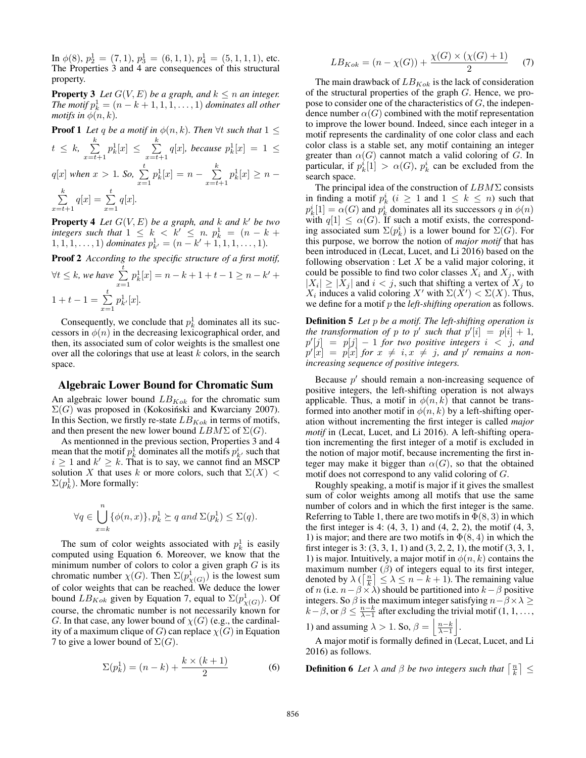In  $\phi(8)$ ,  $p_2^1 = (7, 1)$ ,  $p_3^1 = (6, 1, 1)$ ,  $p_4^1 = (5, 1, 1, 1)$ , etc. The Properties 3 and 4 are consequences of this structural property.

**Property 3** Let  $G(V, E)$  be a graph, and  $k \leq n$  an integer. *The motif*  $p_k^1 = (n - k + 1, 1, 1, \ldots, 1)$  *dominates all other motifs in*  $\phi(n, k)$ *.* 

**Proof 1** Let q be a motif in  $\phi(n, k)$ . Then  $\forall t$  such that  $1 \leq k$ 

$$
t \leq k, \sum_{x=t+1}^{\infty} p_k^1[x] \leq \sum_{x=t+1}^{\infty} q[x], \text{ because } p_k^1[x] = 1 \leq
$$
  

$$
q[x] \text{ when } x > 1. \text{ So, } \sum_{x=1}^t p_k^1[x] = n - \sum_{x=t+1}^k p_k^1[x] \geq n -
$$
  

$$
\sum_{x=t+1}^k q[x] = \sum_{x=1}^t q[x].
$$

**Property 4** Let  $G(V, E)$  be a graph, and k and k' be two *integers such that*  $1 \leq k \leq k' \leq n$ ,  $p_k^1 = (n - k +$  $1, 1, 1, \ldots, 1)$  *dominates*  $p_{k'}^1 = (n - k' + 1, 1, 1, \ldots, 1)$ *.* 

Proof 2 *According to the specific structure of a first motif,* t

$$
\forall t \le k, \text{ we have } \sum_{x=1}^{t} p_k^1[x] = n - k + 1 + t - 1 \ge n - k' + 1 + t - 1 = \sum_{x=1}^{t} p_{k'}^1[x].
$$

Consequently, we conclude that  $p_k^1$  dominates all its successors in  $\phi(n)$  in the decreasing lexicographical order, and then, its associated sum of color weights is the smallest one over all the colorings that use at least  $k$  colors, in the search space.

### Algebraic Lower Bound for Chromatic Sum

An algebraic lower bound  $LB_{Kok}$  for the chromatic sum  $\Sigma(G)$  was proposed in (Kokosiński and Kwarciany 2007). In this Section, we firstly re-state  $LB_{Kok}$  in terms of motifs, and then present the new lower bound  $LBM \Sigma$  of  $\Sigma(G)$ .

As mentionned in the previous section, Properties 3 and 4 mean that the motif  $p_k^1$  dominates all the motifs  $p_{k'}^i$  such that  $i \geq 1$  and  $k' \geq k$ . That is to say, we cannot find an MSCP solution X that uses k or more colors, such that  $\Sigma(X)$  <  $\Sigma(p_k^1)$ . More formally:

$$
\forall q \in \bigcup_{x=k}^{n} \{ \phi(n,x) \}, p_k^1 \succeq q \text{ and } \Sigma(p_k^1) \leq \Sigma(q).
$$

The sum of color weights associated with  $p_k^1$  is easily computed using Equation 6. Moreover, we know that the minimum number of colors to color a given graph  $G$  is its chromatic number  $\chi(G)$ . Then  $\Sigma(p^1_{\chi(G)})$  is the lowest sum of color weights that can be reached. We deduce the lower bound  $LB_{Kok}$  given by Equation 7, equal to  $\Sigma(p^1_{\chi(G)})$ . Of course, the chromatic number is not necessarily known for G. In that case, any lower bound of  $\chi(G)$  (e.g., the cardinality of a maximum clique of G) can replace  $\chi(G)$  in Equation 7 to give a lower bound of  $\Sigma(G)$ .

$$
\Sigma(p_k^1) = (n - k) + \frac{k \times (k + 1)}{2}
$$
 (6)

$$
LB_{Kok} = (n - \chi(G)) + \frac{\chi(G) \times (\chi(G) + 1)}{2}
$$
 (7)

The main drawback of  $LB_{Kok}$  is the lack of consideration of the structural properties of the graph G. Hence, we propose to consider one of the characteristics of G, the independence number  $\alpha(G)$  combined with the motif representation to improve the lower bound. Indeed, since each integer in a motif represents the cardinality of one color class and each color class is a stable set, any motif containing an integer greater than  $\alpha(G)$  cannot match a valid coloring of G. In particular, if  $p_k^i[1] > \alpha(G)$ ,  $p_k^i$  can be excluded from the search space.

The principal idea of the construction of  $LBM \Sigma$  consists in finding a motif  $p_k^i$   $(i \geq 1$  and  $1 \leq k \leq n)$  such that  $p_k^i[1] = \alpha(G)$  and  $p_k^i$  dominates all its successors q in  $\phi(n)$ with  $q[1] \leq \alpha(G)$ . If such a motif exists, the corresponding associated sum  $\Sigma(p_k^i)$  is a lower bound for  $\Sigma(G)$ . For this purpose, we borrow the notion of *major motif* that has been introduced in (Lecat, Lucet, and Li 2016) based on the following observation : Let  $X$  be a valid major coloring, it could be possible to find two color classes  $X_i$  and  $X_j$ , with  $|X_i|\geq |X_j|$  and  $i< j$ , such that shifting a vertex of  $X_j$  to  $X_i$  induces a valid coloring  $X'$  with  $\Sigma(X') < \Sigma(X)$ . Thus, we define for a motif p the *left-shifting operation* as follows.

Definition 5 *Let* p *be a motif. The left-shifting operation is the transformation of* p *to* p' such that  $p'[i] = p[i] + 1$ ,  $p'[j] = p[j] - 1$  *for two positive integers*  $i < j$ *, and*  $p'[x] = p[x]$  *for*  $x \neq i, x \neq j$ *, and*  $p'$  *remains a nonincreasing sequence of positive integers.*

Because  $p'$  should remain a non-increasing sequence of positive integers, the left-shifting operation is not always applicable. Thus, a motif in  $\phi(n, k)$  that cannot be transformed into another motif in  $\phi(n, k)$  by a left-shifting operation without incrementing the first integer is called *major motif* in (Lecat, Lucet, and Li 2016). A left-shifting operation incrementing the first integer of a motif is excluded in the notion of major motif, because incrementing the first integer may make it bigger than  $\alpha(G)$ , so that the obtained motif does not correspond to any valid coloring of G.

Roughly speaking, a motif is major if it gives the smallest sum of color weights among all motifs that use the same number of colors and in which the first integer is the same. Referring to Table 1, there are two motifs in  $\Phi(8,3)$  in which the first integer is 4:  $(4, 3, 1)$  and  $(4, 2, 2)$ , the motif  $(4, 3, 1)$ 1) is major; and there are two motifs in  $\Phi(8, 4)$  in which the first integer is 3: (3, 3, 1, 1) and (3, 2, 2, 1), the motif (3, 3, 1, 1) is major. Intuitively, a major motif in  $\phi(n, k)$  contains the maximum number  $(\beta)$  of integers equal to its first integer, denoted by  $\lambda \left( \left\lceil \frac{n}{k} \right\rceil \leq \lambda \leq n-k+1$ ). The remaining value of n (i.e.  $n - \beta \times \lambda$ ) should be partitioned into  $k - \beta$  positive integers. So  $\beta$  is the maximum integer satisfying  $n - \beta \times \lambda \geq$  $k-\beta$ , or  $\beta \leq \frac{n-k}{\lambda-1}$  after excluding the trivial motif  $(1, 1, ...,$ 

1) and assuming  $\lambda > 1$ . So,  $\beta = \left\lfloor \frac{n-k}{\lambda-1} \right\rfloor$ .

A major motif is formally defined in (Lecat, Lucet, and Li 2016) as follows.

**Definition 6** Let  $\lambda$  and  $\beta$  be two integers such that  $\left\lceil \frac{n}{k} \right\rceil \leq$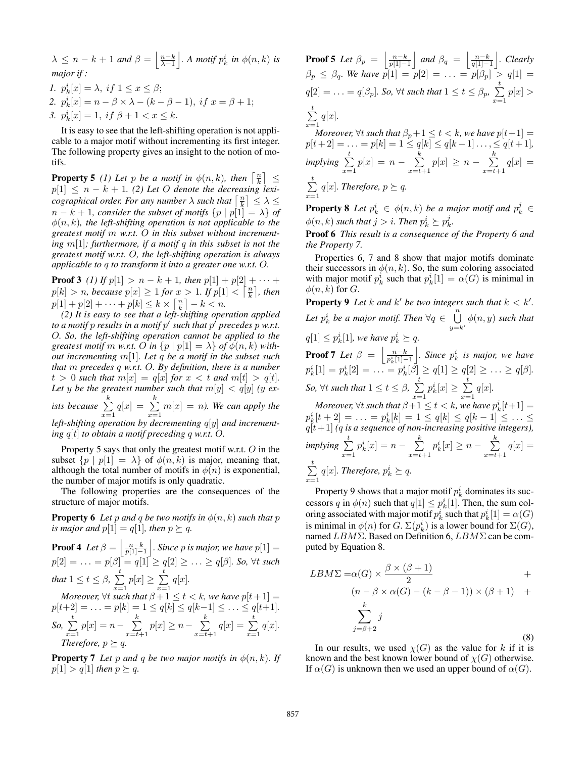$\lambda \leq n-k+1$  and  $\beta = \left\lfloor \frac{n-k}{\lambda-1} \right\rfloor$  $\Big\vert$ *. A motif*  $p_k^i$  *in*  $\phi(n, k)$  *is major if : 1.*  $p_k^i[x] = \lambda$ , if  $1 \leq x \leq \beta$ ; 2.  $p_k^i[x] = n - \beta \times \lambda - (k - \beta - 1), \text{ if } x = \beta + 1;$ *3.*  $p_k^i[x] = 1$ , if  $\beta + 1 < x \leq k$ .

It is easy to see that the left-shifting operation is not applicable to a major motif without incrementing its first integer. The following property gives an insight to the notion of motifs.

**Property 5** (1) Let p be a motif in  $\phi(n, k)$ , then  $\left\lceil \frac{n}{k} \right\rceil \leq$  $p[1] \leq n - k + 1$ . (2) Let O denote the decreasing lexi*cographical order. For any number*  $\lambda$  *such that*  $\left\lceil \frac{n}{k} \right\rceil \leq \lambda \leq$  $n - k + 1$ , consider the subset of motifs  $\{p \mid p[1] = \lambda\}$  of  $\phi(n, k)$ , the left-shifting operation is not applicable to the *greatest motif* m *w.r.t.* O *in this subset without incrementing* m[1]*; furthermore, if a motif* q *in this subset is not the greatest motif w.r.t.* O*, the left-shifting operation is always applicable to* q *to transform it into a greater one w.r.t.* O*.*

**Proof 3** *(1)* If  $p[1] > n - k + 1$ , then  $p[1] + p[2] + \cdots$  $p[k] > n$ , because  $p[x] \geq 1$  for  $x > 1$ . If  $p[1] < \lceil \frac{n}{k} \rceil$ , then  $p[1] + p[2] + \cdots + p[k] \le k \times \left[\frac{n}{k}\right] - k < n.$ 

*(2) It is easy to see that a left-shifting operation applied to a motif*  $p$  *results in a motif*  $p'$  *such that*  $p'$  *precedes*  $p$  *w.r.t.* O*. So, the left-shifting operation cannot be applied to the greatest motif m w.r.t. O in*  $\{p \mid p[1] = \lambda\}$  *of*  $\phi(n, k)$  *without incrementing* m[1]*. Let* q *be a motif in the subset such that* m *precedes* q *w.r.t.* O*. By definition, there is a number*  $t > 0$  such that  $m[x] = q[x]$  for  $x < t$  and  $m[t] > q[t]$ . Let y be the greatest number such that  $m[y] < q[y]$  *(y exists because*  $\sum_{n=1}^k$  $\sum_{x=1}^{k} q[x] = \sum_{x=1}^{k}$  $\sum_{x=1}^{\infty} m[x] = n$ ). We can apply the *left-shifting operation by decrementing* q[y] *and incrementing*  $q[t]$  *to obtain a motif preceding* q *w.r.t.* O.

Property 5 says that only the greatest motif w.r.t. O in the subset  $\{p \mid p[1] = \lambda\}$  of  $\phi(n, k)$  is major, meaning that, although the total number of motifs in  $\phi(n)$  is exponential, the number of major motifs is only quadratic.

The following properties are the consequences of the structure of major motifs.

**Property 6** Let p and q be two motifs in  $\phi(n, k)$  such that p *is major and*  $p[1] = q[1]$ *, then*  $p \succ q$ *.* 

**Proof 4** Let  $\beta = \left\lfloor \frac{n-k}{p[1]-1} \right\rfloor$ *. Since p* is major, we have  $p[1] =$  $p[2] = \ldots = p[\beta] = q[1] \ge q[2] \ge \ldots \ge q[\beta]$ *. So,*  $\forall t$  *such that*  $1 \leq t \leq \beta$ ,  $\sum_{i=1}^{t}$  $\sum_{x=1}^{t} p[x] \geq \sum_{x=1}^{t}$  $\sum_{x=1}^{\infty} q[x].$ 

*Moreover,*  $\forall t$  *such that*  $\beta + 1 \leq t < k$ *, we have*  $p[t + 1] =$  $p[t+2] = \ldots = p[k] = 1 \le q[k] \le q[k-1] \le \ldots \le q[t+1].$ So,  $\sum\limits_{}^{t}$  $\sum_{x=1}^{t} p[x] = n - \sum_{x=t+1}^{k}$  $\sum_{x=t+1}^{k} p[x] \geq n - \sum_{x=t+1}^{k}$  $\sum_{x=t+1}^{k} q[x] = \sum_{x=1}^{t}$  $\sum_{x=1}^{\infty} q[x].$ *Therefore,*  $p \succeq q$ *.* 

**Property 7** *Let* p and q be two major motifs in  $\phi(n, k)$ *. If*  $p[1] > q[1]$  *then*  $p \succeq q$ .

**Proof 5** Let  $\beta_p = \begin{bmatrix} \frac{n-k}{p[1]-1} \end{bmatrix}$  $\int$  *and*  $\beta_q = \left[ \frac{n-k}{q[1]-1} \right]$  *. Clearly*  $\beta_p \leq \beta_q$ . We have  $p[1] = p[2] = \ldots = p[\beta_p] > q[1] =$  $q[2] = \ldots = q[\beta_p]$ . So,  $\forall t$  such that  $1 \leq t \leq \beta_p$ ,  $\sum_{i=1}^{t}$  $\sum_{x=1} p[x] >$  $\sum t \ q[x]$ . *x*=1<br>*Moreover,*  $\forall t$  *such that*  $\beta_p + 1 \le t < k$ *, we have*  $p[t+1] =$  $p[t+2] = \ldots = p[k] = 1 \le q[k] \le q[k-1] \ldots \le q[t+1],$  $implying \sum_{i=1}^{t}$  $\sum_{x=1}^{t} p[x] = n - \sum_{x=t+1}^{k}$  $\sum_{x=t+1}^{k} p[x] \geq n - \sum_{x=t+1}^{k}$  $\sum_{x=t+1} q[x] =$  $\sum_{i=1}^{t}$  $\sum_{x=1} q[x]$ *. Therefore,*  $p \succeq q$ *.* 

**Property 8** Let  $p_k^i \in \phi(n,k)$  be a major motif and  $p_k^j \in$  $\phi(n,k)$  such that  $j > i$ . Then  $p_k^i \succeq p_k^j$ .

Proof 6 *This result is a consequence of the Property 6 and the Property 7.*

Properties 6, 7 and 8 show that major motifs dominate their successors in  $\phi(n, k)$ . So, the sum coloring associated with major motif  $p_k^i$  such that  $p_k^i[1] = \alpha(G)$  is minimal in  $\phi(n, k)$  for G.

**Property 9** Let k and k' be two integers such that  $k < k'$ . Let  $p_k^i$  be a major motif. Then  $\forall q \in \bigcup_{y=k'}^n \phi(n, y)$  such that  $q[1] \leq p_k^i[1]$ , we have  $p_k^i \geq q$ .

**Proof 7** *Let*  $\beta = \begin{bmatrix} \frac{n-k}{p_k^i[1]-1} \end{bmatrix}$  $\left| \right.$ *. Since*  $p_k^i$  *is major, we have*  $p_k^i[1] = p_k^i[2] = \ldots = p_k^i[\beta] \ge q[1] \ge q[2] \ge \ldots \ge q[\beta].$ *So,*  $\forall t$  *such that*  $1 \leq t \leq \beta$ ,  $\sum_{i=1}^{t}$  $x=1$  $p_k^i[x] \geq \sum_{i=1}^t$  $\sum_{x=1}^{\infty} q[x].$ 

*Moreover,*  $\forall t$  *such that*  $\beta+1 \leq t < k$ *, we have*  $p_k^i[t+1] =$  $p_k^i[t+2] = \ldots = p_k^i[k] = 1 \le q[k] \le q[k-1] \le \ldots \le q[t+1]$  *(q is a sequence of non-increasing positive integers)*,  $implying \sum_{i=1}^{t}$  $x=1$  $p_k^i[x] = n - \sum_{k=0}^k$  $x=t+1$  $p_k^i[x] \geq n - \sum_{k=1}^k$  $\sum_{x=t+1} q[x] =$  $\sum_{i=1}^{t}$  $\sum_{x=1} q[x]$ *. Therefore,*  $p_k^i \succeq q$ *.* 

Property 9 shows that a major motif  $p_k^i$  dominates its successors q in  $\phi(n)$  such that  $q[1] \leq p_k^i[1]$ . Then, the sum coloring associated with major motif  $p_k^i$  such that  $p_k^i[1] = \alpha(G)$ is minimal in  $\phi(n)$  for  $G$ .  $\Sigma(p_k^i)$  is a lower bound for  $\Sigma(G)$ , named LBMΣ. Based on Definition 6, LBMΣ can be computed by Equation 8.

$$
LBM \Sigma = \alpha(G) \times \frac{\beta \times (\beta + 1)}{2} +
$$
  
\n
$$
(n - \beta \times \alpha(G) - (k - \beta - 1)) \times (\beta + 1) +
$$
  
\n
$$
\sum_{j=\beta+2}^{k} j
$$
 (8)

In our results, we used  $\chi(G)$  as the value for k if it is known and the best known lower bound of  $\chi(G)$  otherwise. If  $\alpha(G)$  is unknown then we used an upper bound of  $\alpha(G)$ .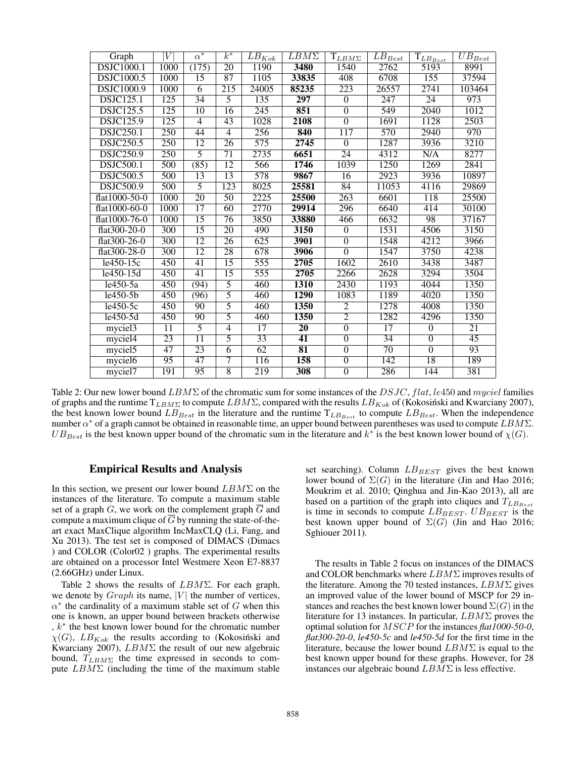| Graph               |                  | $\alpha^*$      | $k^*$           | $\overline{LB}_{Kok}$ | $\overline{LBM}\Sigma$   | $T_{LB\underline{M\Sigma}}$ | $\overline{L}\overline{B}_{Best}$ | $\overline{{\mathcal T}}_{\mathcal{L} \mathcal{B}_{\mathcal{B} est}}$ | $\overline{UB}_{Best}$ |
|---------------------|------------------|-----------------|-----------------|-----------------------|--------------------------|-----------------------------|-----------------------------------|-----------------------------------------------------------------------|------------------------|
| <b>DSJC1000.1</b>   | 1000             | (175)           | $\overline{20}$ | <b>1190</b>           | 3480                     | 1540                        | 2762                              | 5193                                                                  | 8991                   |
| <b>DSJC1000.5</b>   | <b>1000</b>      | $\overline{15}$ | $\overline{87}$ | 1105                  | 33835                    | 408                         | 6708                              | 155                                                                   | 37594                  |
| <b>DSJC1000.9</b>   | 1000             | $\overline{6}$  | 215             | 24005                 | 85235                    | 223                         | 26557                             | 2741                                                                  | 103464                 |
| <b>DSJC125.1</b>    | 125              | 34              | 5               | 135                   | 297                      | $\overline{0}$              | 247                               | 24                                                                    | 973                    |
| <b>DSJC125.5</b>    | 125              | $\overline{10}$ | $\overline{16}$ | $\overline{245}$      | 851                      | $\overline{0}$              | 549                               | 2040                                                                  | 1012                   |
| <b>DSJC125.9</b>    | $\overline{125}$ | 4               | 43              | 1028                  | 2108                     | $\overline{0}$              | 1691                              | 1128                                                                  | 2503                   |
| <b>DSJC250.1</b>    | 250              | 44              | $\overline{4}$  | 256                   | 840                      | 117                         | 570                               | 2940                                                                  | 970                    |
| <b>DSJC250.5</b>    | 250              | 12              | $\overline{26}$ | $\overline{575}$      | 2745                     | $\overline{0}$              | 1287                              | 3936                                                                  | 3210                   |
| <b>DSJC250.9</b>    | $\overline{250}$ | $\overline{5}$  | $\overline{71}$ | 2735                  | 6651                     | $\overline{24}$             | 4312                              | N/A                                                                   | 8277                   |
| <b>DSJC500.1</b>    | 500              | (85)            | $\overline{12}$ | 566                   | 1746                     | 1039                        | 1250                              | 1269                                                                  | 2841                   |
| <b>DSJC500.5</b>    | $\overline{500}$ | 13              | $\overline{13}$ | 578                   | 9867                     | $\overline{16}$             | 2923                              | 3936                                                                  | 10897                  |
| <b>DSJC500.9</b>    | 500              | 5               | 123             | 8025                  | 25581                    | 84                          | 11053                             | 4116                                                                  | 29869                  |
| flat1000-50-0       | 1000             | $\overline{20}$ | $\overline{50}$ | 2225                  | 25500                    | 263                         | 6601                              | 118                                                                   | 25500                  |
| $flat1000-60-0$     | 1000             | 17              | 60              | 2770                  | 29914                    | 296                         | 6640                              | 414                                                                   | 30100                  |
| flat1000-76-0       | 1000             | 15              | $\overline{76}$ | 3850                  | 33880                    | 466                         | 6632                              | 98                                                                    | 37167                  |
| flat300-20-0        | $\overline{300}$ | $\overline{15}$ | $\overline{20}$ | 490                   | 3150                     | $\theta$                    | 1531                              | 4506                                                                  | 3150                   |
| flat300-26-0        | 300              | $\overline{12}$ | $\overline{26}$ | 625                   | 3901                     | $\overline{0}$              | 1548                              | 4212                                                                  | 3966                   |
| flat300-28-0        | $\overline{300}$ | $\overline{12}$ | $\overline{28}$ | 678                   | 3906                     | $\overline{0}$              | 1547                              | 3750                                                                  | 4238                   |
| $1e450-15c$         | 450              | 41              | $\overline{15}$ | 555                   | 2705                     | 1602                        | 2610                              | 3438                                                                  | 3487                   |
| $l$ e450-15d        | 450              | 41              | $\overline{15}$ | 555                   | 2705                     | 2266                        | 2628                              | 3294                                                                  | 3504                   |
| le450-5a            | 450              | (94)            | 5               | 460                   | <b>1310</b>              | 2430                        | 1193                              | 4044                                                                  | 1350                   |
| $le450-5b$          | 450              | (96)            | $\overline{5}$  | 460                   | 1290                     | 1083                        | 1189                              | 4020                                                                  | 1350                   |
| $le450-5c$          | $\overline{450}$ | $\overline{90}$ | $\overline{5}$  | 460                   | 1350                     | $\overline{2}$              | 1278                              | 4008                                                                  | 1350                   |
| le450-5d            | 450              | 90              | $\overline{5}$  | 460                   | 1350                     | $\overline{2}$              | 1282                              | 4296                                                                  | 1350                   |
| myciel <sub>3</sub> | 11               | $\overline{5}$  | $\overline{4}$  | $\overline{17}$       | $\overline{20}$          | $\overline{0}$              | $\overline{17}$                   | $\theta$                                                              | 21                     |
| myciel4             | 23               | $\overline{11}$ | $\overline{5}$  | $\overline{33}$       | 41                       | $\overline{0}$              | $\overline{34}$                   | $\overline{0}$                                                        | $\overline{45}$        |
| myciel <sub>5</sub> | $\overline{47}$  | $\overline{23}$ | $\overline{6}$  | $\overline{62}$       | $\overline{\textbf{81}}$ | $\overline{0}$              | $\overline{70}$                   | $\theta$                                                              | $\overline{93}$        |
| myciel <sub>6</sub> | $\overline{95}$  | 47              | 7               | 116                   | 158                      | $\overline{0}$              | 142                               | 18                                                                    | 189                    |
| myciel7             | 191              | $\overline{95}$ | $\overline{8}$  | 219                   | 308                      | $\overline{0}$              | 286                               | 144                                                                   | 381                    |

Table 2: Our new lower bound  $LBM\Sigma$  of the chromatic sum for some instances of the DSJC, flat, le450 and myciel families of graphs and the runtime  $T_{LBM\Sigma}$  to compute  $LBM\Sigma$ , compared with the results  $LB_{Kok}$  of (Kokosiński and Kwarciany 2007), the best known lower bound  $LB_{Best}$  in the literature and the runtime  $T_{LB_{Best}}$  to compute  $LB_{Best}$ . When the independence number  $\alpha^*$  of a graph cannot be obtained in reasonable time, an upper bound between parentheses was used to compute  $LBM\Sigma$ .  $UB_{Best}$  is the best known upper bound of the chromatic sum in the literature and  $k^*$  is the best known lower bound of  $\chi(G)$ .

# Empirical Results and Analysis

In this section, we present our lower bound  $LBM \Sigma$  on the instances of the literature. To compute a maximum stable set of a graph  $G$ , we work on the complement graph  $\overline{G}$  and compute a maximum clique of  $\overline{G}$  by running the state-of-theart exact MaxClique algorithm IncMaxCLQ (Li, Fang, and Xu 2013). The test set is composed of DIMACS (Dimacs ) and COLOR (Color02 ) graphs. The experimental results are obtained on a processor Intel Westmere Xeon E7-8837 (2.66GHz) under Linux.

Table 2 shows the results of  $LBM\Sigma$ . For each graph, we denote by  $Graph$  its name, |V| the number of vertices,  $\alpha^*$  the cardinality of a maximum stable set of G when this one is known, an upper bound between brackets otherwise , k<sup>∗</sup> the best known lower bound for the chromatic number  $\chi(G)$ ,  $LB_{Kok}$  the results according to (Kokosiński and Kwarciany 2007), LBMΣ the result of our new algebraic bound,  $T_{LBM\Sigma}$  the time expressed in seconds to compute  $LBM \Sigma$  (including the time of the maximum stable set searching). Column  $LB_{BEST}$  gives the best known lower bound of  $\Sigma(G)$  in the literature (Jin and Hao 2016; Moukrim et al. 2010; Qinghua and Jin-Kao 2013), all are based on a partition of the graph into cliques and  $T_{LB_{Best}}$ is time in seconds to compute  $LB_{BEST}$ .  $UB_{BEST}$  is the best known upper bound of  $\Sigma(G)$  (Jin and Hao 2016; Sghiouer 2011).

The results in Table 2 focus on instances of the DIMACS and COLOR benchmarks where  $LBM \Sigma$  improves results of the literature. Among the 70 tested instances,  $LBM\Sigma$  gives an improved value of the lower bound of MSCP for 29 instances and reaches the best known lower bound  $\Sigma(G)$  in the literature for 13 instances. In particular,  $LBM \Sigma$  proves the optimal solution for MSCP for the instances *flat1000-50-0*, *flat300-20-0*, *le450-5c* and *le450-5d* for the first time in the literature, because the lower bound  $LBM\Sigma$  is equal to the best known upper bound for these graphs. However, for 28 instances our algebraic bound  $LBM\Sigma$  is less effective.